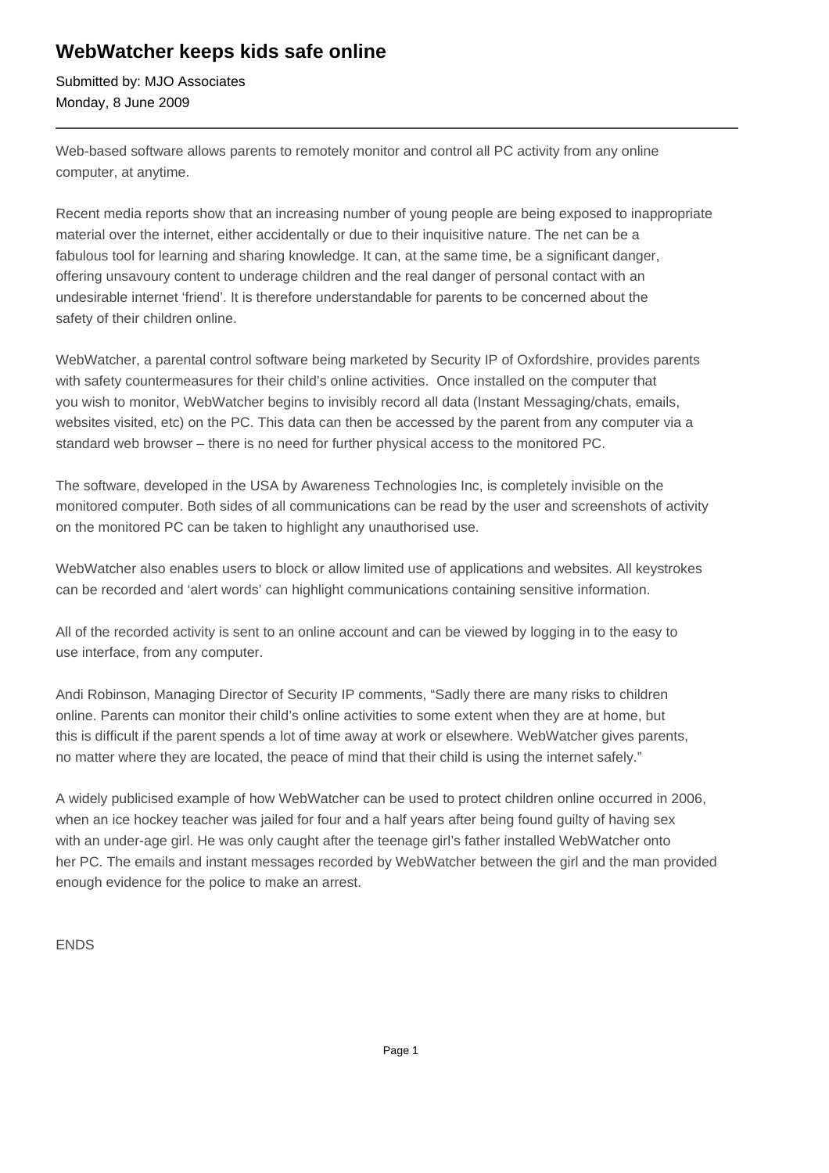## **WebWatcher keeps kids safe online**

Submitted by: MJO Associates Monday, 8 June 2009

Web-based software allows parents to remotely monitor and control all PC activity from any online computer, at anytime.

Recent media reports show that an increasing number of young people are being exposed to inappropriate material over the internet, either accidentally or due to their inquisitive nature. The net can be a fabulous tool for learning and sharing knowledge. It can, at the same time, be a significant danger, offering unsavoury content to underage children and the real danger of personal contact with an undesirable internet 'friend'. It is therefore understandable for parents to be concerned about the safety of their children online.

WebWatcher, a parental control software being marketed by Security IP of Oxfordshire, provides parents with safety countermeasures for their child's online activities. Once installed on the computer that you wish to monitor, WebWatcher begins to invisibly record all data (Instant Messaging/chats, emails, websites visited, etc) on the PC. This data can then be accessed by the parent from any computer via a standard web browser – there is no need for further physical access to the monitored PC.

The software, developed in the USA by Awareness Technologies Inc, is completely invisible on the monitored computer. Both sides of all communications can be read by the user and screenshots of activity on the monitored PC can be taken to highlight any unauthorised use.

WebWatcher also enables users to block or allow limited use of applications and websites. All keystrokes can be recorded and 'alert words' can highlight communications containing sensitive information.

All of the recorded activity is sent to an online account and can be viewed by logging in to the easy to use interface, from any computer.

Andi Robinson, Managing Director of Security IP comments, "Sadly there are many risks to children online. Parents can monitor their child's online activities to some extent when they are at home, but this is difficult if the parent spends a lot of time away at work or elsewhere. WebWatcher gives parents, no matter where they are located, the peace of mind that their child is using the internet safely."

A widely publicised example of how WebWatcher can be used to protect children online occurred in 2006, when an ice hockey teacher was jailed for four and a half years after being found guilty of having sex with an under-age girl. He was only caught after the teenage girl's father installed WebWatcher onto her PC. The emails and instant messages recorded by WebWatcher between the girl and the man provided enough evidence for the police to make an arrest.

## ENDS